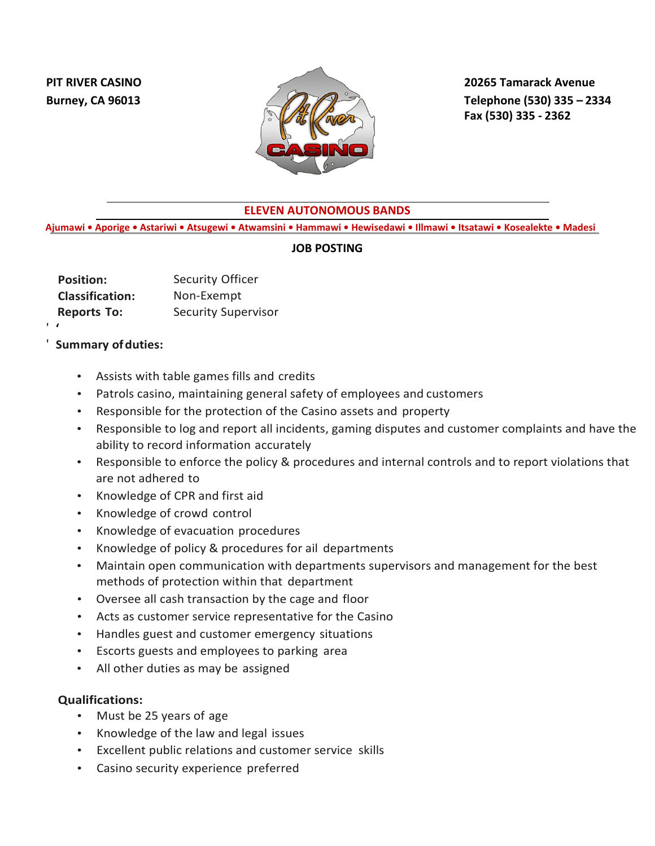

**Burney, CA 96013 Telephone (530) 335 – 2334 Fax (530) 335 - 2362**

## **ELEVEN AUTONOMOUS BANDS**

 **Ajumawi • Aporige • Astariwi • Atsugewi • Atwamsini • Hammawi • Hewisedawi • Illmawi • Itsatawi • Kosealekte • Madesi**

## **JOB POSTING**

| <b>Position:</b>       | Security Officer           |
|------------------------|----------------------------|
| <b>Classification:</b> | Non-Exempt                 |
| <b>Reports To:</b>     | <b>Security Supervisor</b> |
|                        |                            |

## '**Summary ofduties:**

'

- Assists with table games fills and credits
- Patrols casino, maintaining general safety of employees and customers
- Responsible for the protection of the Casino assets and property
- Responsible to log and report all incidents, gaming disputes and customer complaints and have the ability to record information accurately
- Responsible to enforce the policy & procedures and internal controls and to report violations that are not adhered to
- Knowledge of CPR and first aid
- Knowledge of crowd control
- Knowledge of evacuation procedures
- Knowledge of policy & procedures for ail departments
- Maintain open communication with departments supervisors and management for the best methods of protection within that department
- Oversee all cash transaction by the cage and floor
- Acts as customer service representative for the Casino
- Handles guest and customer emergency situations
- Escorts guests and employees to parking area
- All other duties as may be assigned

## **Qualifications:**

- Must be 25 years of age
- Knowledge of the law and legal issues
- Excellent public relations and customer service skills
- Casino security experience preferred